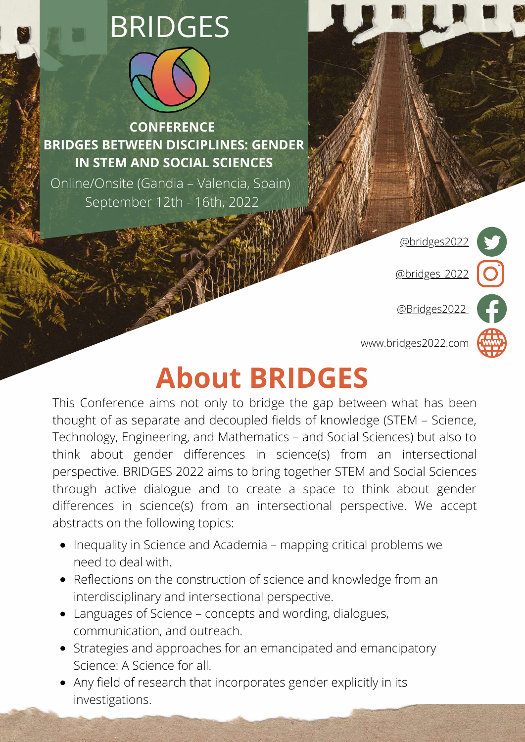# BRIDGES



**CONFERENCE BRIDGES BETWEEN DISCIPLINES: GENDER IN STEM AND SOCIAL SCIENCES**

Online/Onsite (Gandia – Valencia, Spain) September 12th - 16th, 2022

[@bridges2022](http://www.twitter.com/bridges2022/)

[@bridges\\_2022](https://www.instagram.com/bridges_2022/)

[@Bridges2022](https://www.facebook.com/Bridges2022)



## **About BRIDGES**

This Conference aims not only to bridge the gap between what has been thought of as separate and decoupled fields of knowledge (STEM – Science, Technology, Engineering, and Mathematics – and Social Sciences) but also to think about gender differences in science(s) from an intersectional perspective. BRIDGES 2022 aims to bring together STEM and Social Sciences through active dialogue and to create a space to think about gender differences in science(s) from an intersectional perspective. We accept abstracts on the following topics:

- Inequality in Science and Academia mapping critical problems we need to deal with.
- Reflections on the construction of science and knowledge from an interdisciplinary and intersectional perspective.
- Languages of Science concepts and wording, dialogues, communication, and outreach.
- Strategies and approaches for an emancipated and emancipatory Science: A Science for all.
- Any field of research that incorporates gender explicitly in its investigations.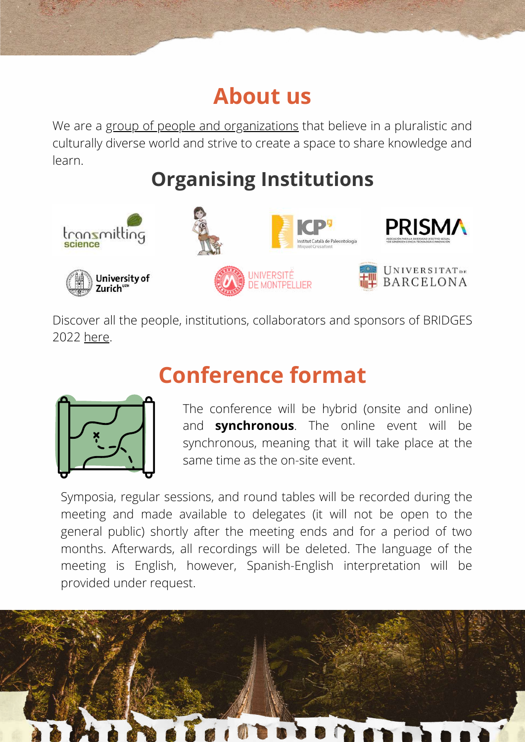#### **About us**

We are a group of people and [organizations](https://bridges2022.com/about-us/) that believe in a pluralistic and culturally diverse world and strive to create a space to share knowledge and learn.

#### **Organising Institutions**



Discover all the people, institutions, collaborators and sponsors of BRIDGES 2022 [here](https://bridges2022.com/about-us/).

#### **Conference format**



The conference will be hybrid (onsite and online) and **synchronous**. The online event will be synchronous, meaning that it will take place at the same time as the on-site event.

Symposia, regular sessions, and round tables will be recorded during the meeting and made available to delegates (it will not be open to the general public) shortly after the meeting ends and for a period of two months. Afterwards, all recordings will be deleted. The language of the meeting is English, however, Spanish-English interpretation will be provided under request.